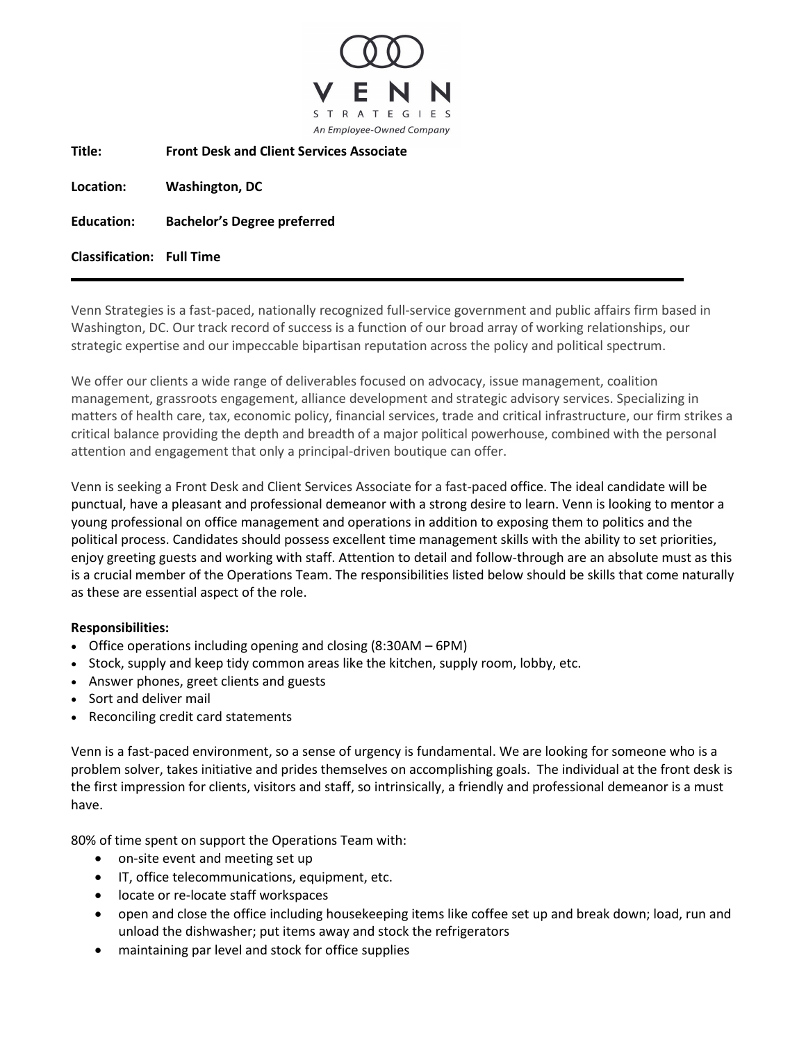

**Title: Front Desk and Client Services Associate**

**Location: Washington, DC**

**Education: Bachelor's Degree preferred**

**Classification: Full Time**

Venn Strategies is a fast-paced, nationally recognized full-service government and public affairs firm based in Washington, DC. Our track record of success is a function of our broad array of working relationships, our strategic expertise and our impeccable bipartisan reputation across the policy and political spectrum.

We offer our clients a wide range of deliverables focused on advocacy, issue management, coalition management, grassroots engagement, alliance development and strategic advisory services. Specializing in matters of health care, tax, economic policy, financial services, trade and critical infrastructure, our firm strikes a critical balance providing the depth and breadth of a major political powerhouse, combined with the personal attention and engagement that only a principal-driven boutique can offer.

Venn is seeking a Front Desk and Client Services Associate for a fast-paced office. The ideal candidate will be punctual, have a pleasant and professional demeanor with a strong desire to learn. Venn is looking to mentor a young professional on office management and operations in addition to exposing them to politics and the political process. Candidates should possess excellent time management skills with the ability to set priorities, enjoy greeting guests and working with staff. Attention to detail and follow-through are an absolute must as this is a crucial member of the Operations Team. The responsibilities listed below should be skills that come naturally as these are essential aspect of the role.

## **Responsibilities:**

- Office operations including opening and closing (8:30AM 6PM)
- Stock, supply and keep tidy common areas like the kitchen, supply room, lobby, etc.
- Answer phones, greet clients and guests
- Sort and deliver mail
- Reconciling credit card statements

Venn is a fast-paced environment, so a sense of urgency is fundamental. We are looking for someone who is a problem solver, takes initiative and prides themselves on accomplishing goals. The individual at the front desk is the first impression for clients, visitors and staff, so intrinsically, a friendly and professional demeanor is a must have.

80% of time spent on support the Operations Team with:

- on-site event and meeting set up
- IT, office telecommunications, equipment, etc.
- locate or re-locate staff workspaces
- open and close the office including housekeeping items like coffee set up and break down; load, run and unload the dishwasher; put items away and stock the refrigerators
- maintaining par level and stock for office supplies